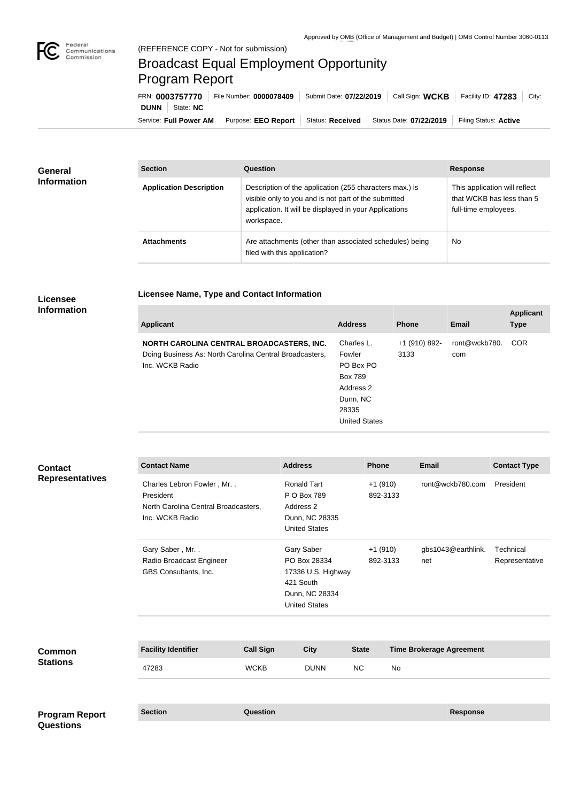

## Broadcast Equal Employment Opportunity Program Report

**Licensee Name, Type and Contact Information**

Service: Full Power AM | Purpose: EEO Report | Status: Received | Status Date: 07/22/2019 | Filing Status: Active **DUNN** State: **NC** FRN: **0003757770** File Number: **0000078409** Submit Date: **07/22/2019** Call Sign: **WCKB** Facility ID: **47283** City:

| <b>General</b><br><b>Information</b> | <b>Section</b>                 | Question                                                                                                                                                                                | <b>Response</b>                                                                    |
|--------------------------------------|--------------------------------|-----------------------------------------------------------------------------------------------------------------------------------------------------------------------------------------|------------------------------------------------------------------------------------|
|                                      | <b>Application Description</b> | Description of the application (255 characters max.) is<br>visible only to you and is not part of the submitted<br>application. It will be displayed in your Applications<br>workspace. | This application will reflect<br>that WCKB has less than 5<br>full-time employees. |
|                                      | <b>Attachments</b>             | Are attachments (other than associated schedules) being<br>filed with this application?                                                                                                 | <b>No</b>                                                                          |

## **Licensee Information**

| <b>Applicant</b>                                                                                                        | <b>Address</b>                                                                                         | <b>Phone</b>          | Email                | <b>Applicant</b><br><b>Type</b> |
|-------------------------------------------------------------------------------------------------------------------------|--------------------------------------------------------------------------------------------------------|-----------------------|----------------------|---------------------------------|
| NORTH CAROLINA CENTRAL BROADCASTERS, INC.<br>Doing Business As: North Carolina Central Broadcasters,<br>Inc. WCKB Radio | Charles L.<br>Fowler<br>PO Box PO<br>Box 789<br>Address 2<br>Dunn, NC<br>28335<br><b>United States</b> | +1 (910) 892-<br>3133 | ront@wckb780.<br>com | <b>COR</b>                      |

| <b>Contact</b><br><b>Representatives</b> | <b>Contact Name</b>                                                                                  |                  | <b>Address</b>                                                                                          | Phone        |                       | Email                           | <b>Contact Type</b>         |
|------------------------------------------|------------------------------------------------------------------------------------------------------|------------------|---------------------------------------------------------------------------------------------------------|--------------|-----------------------|---------------------------------|-----------------------------|
|                                          | Charles Lebron Fowler, Mr. .<br>President<br>North Carolina Central Broadcasters,<br>Inc. WCKB Radio |                  | <b>Ronald Tart</b><br>P O Box 789<br>Address 2<br>Dunn, NC 28335<br><b>United States</b>                |              | $+1(910)$<br>892-3133 | ront@wckb780.com                | President                   |
|                                          | Gary Saber, Mr<br>Radio Broadcast Engineer<br>GBS Consultants, Inc.                                  |                  | Gary Saber<br>PO Box 28334<br>17336 U.S. Highway<br>421 South<br>Dunn, NC 28334<br><b>United States</b> |              | $+1(910)$<br>892-3133 | gbs1043@earthlink.<br>net       | Technical<br>Representative |
|                                          |                                                                                                      |                  |                                                                                                         |              |                       |                                 |                             |
| Common<br><b>Stations</b>                | <b>Facility Identifier</b>                                                                           | <b>Call Sign</b> | <b>City</b>                                                                                             | <b>State</b> |                       | <b>Time Brokerage Agreement</b> |                             |
|                                          | 47283                                                                                                | <b>WCKB</b>      | <b>DUNN</b>                                                                                             | NC           | No                    |                                 |                             |
|                                          |                                                                                                      |                  |                                                                                                         |              |                       |                                 |                             |
| <b>Program Report</b>                    | <b>Section</b>                                                                                       | Question         |                                                                                                         |              |                       | <b>Response</b>                 |                             |
| <b>Questions</b>                         |                                                                                                      |                  |                                                                                                         |              |                       |                                 |                             |